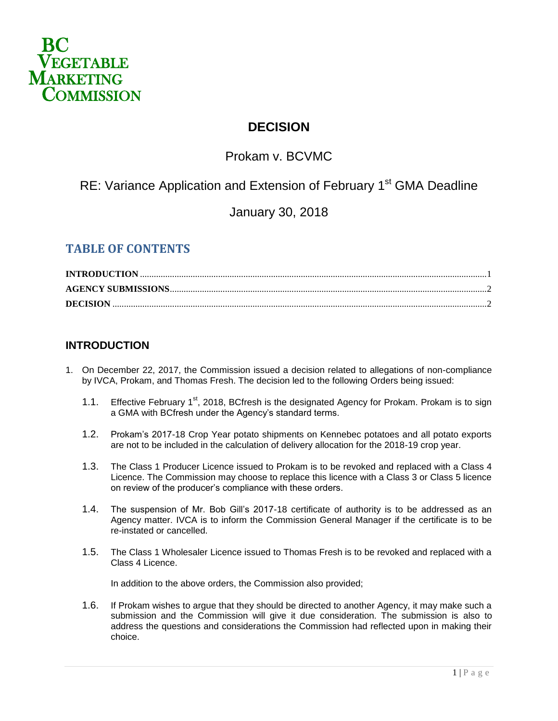

## **DECISION**

# Prokam v. BCVMC

# RE: Variance Application and Extension of February 1<sup>st</sup> GMA Deadline

## January 30, 2018

## **TABLE OF CONTENTS**

#### <span id="page-0-0"></span>**INTRODUCTION**

- 1. On December 22, 2017, the Commission issued a decision related to allegations of non-compliance by IVCA, Prokam, and Thomas Fresh. The decision led to the following Orders being issued:
	- 1.1. Effective February 1<sup>st</sup>, 2018, BCfresh is the designated Agency for Prokam. Prokam is to sign a GMA with BCfresh under the Agency's standard terms.
	- 1.2. Prokam's 2017-18 Crop Year potato shipments on Kennebec potatoes and all potato exports are not to be included in the calculation of delivery allocation for the 2018-19 crop year.
	- 1.3. The Class 1 Producer Licence issued to Prokam is to be revoked and replaced with a Class 4 Licence. The Commission may choose to replace this licence with a Class 3 or Class 5 licence on review of the producer's compliance with these orders.
	- 1.4. The suspension of Mr. Bob Gill's 2017-18 certificate of authority is to be addressed as an Agency matter. IVCA is to inform the Commission General Manager if the certificate is to be re-instated or cancelled.
	- 1.5. The Class 1 Wholesaler Licence issued to Thomas Fresh is to be revoked and replaced with a Class 4 Licence.

In addition to the above orders, the Commission also provided;

1.6. If Prokam wishes to argue that they should be directed to another Agency, it may make such a submission and the Commission will give it due consideration. The submission is also to address the questions and considerations the Commission had reflected upon in making their choice.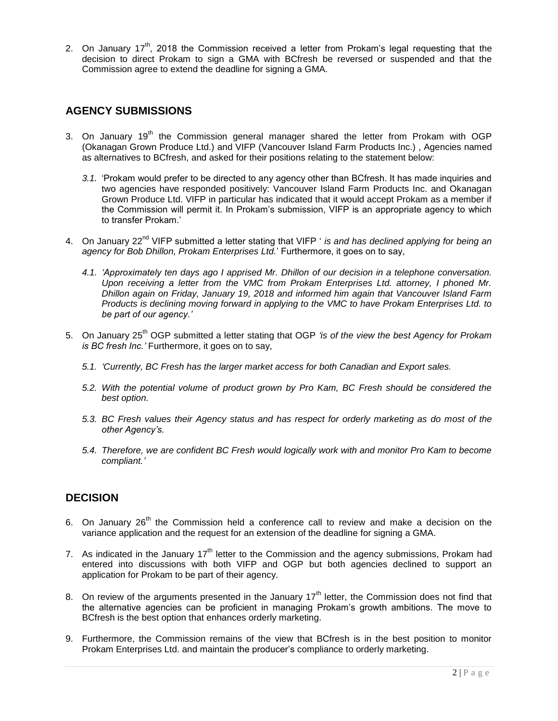2. On January  $17<sup>th</sup>$ , 2018 the Commission received a letter from Prokam's legal requesting that the decision to direct Prokam to sign a GMA with BCfresh be reversed or suspended and that the Commission agree to extend the deadline for signing a GMA.

#### <span id="page-1-0"></span>**AGENCY SUBMISSIONS**

- 3. On January  $19<sup>th</sup>$  the Commission general manager shared the letter from Prokam with OGP (Okanagan Grown Produce Ltd.) and VIFP (Vancouver Island Farm Products Inc.) , Agencies named as alternatives to BCfresh, and asked for their positions relating to the statement below:
	- *3.1.* 'Prokam would prefer to be directed to any agency other than BCfresh. It has made inquiries and two agencies have responded positively: Vancouver Island Farm Products Inc. and Okanagan Grown Produce Ltd. VIFP in particular has indicated that it would accept Prokam as a member if the Commission will permit it. In Prokam's submission, VIFP is an appropriate agency to which to transfer Prokam.'
- 4. On January 22<sup>nd</sup> VIFP submitted a letter stating that VIFP ' *is and has declined applying for being an agency for Bob Dhillon, Prokam Enterprises Ltd.*' Furthermore, it goes on to say,
	- *4.1. 'Approximately ten days ago I apprised Mr. Dhillon of our decision in a telephone conversation. Upon receiving a letter from the VMC from Prokam Enterprises Ltd. attorney, I phoned Mr. Dhillon again on Friday, January 19, 2018 and informed him again that Vancouver Island Farm Products is declining moving forward in applying to the VMC to have Prokam Enterprises Ltd. to be part of our agency.'*
- 5. On January 25th OGP submitted a letter stating that OGP *'is of the view the best Agency for Prokam is BC fresh Inc.'* Furthermore, it goes on to say,
	- *5.1. 'Currently, BC Fresh has the larger market access for both Canadian and Export sales.*
	- *5.2. With the potential volume of product grown by Pro Kam, BC Fresh should be considered the best option.*
	- *5.3. BC Fresh values their Agency status and has respect for orderly marketing as do most of the other Agency's.*
	- *5.4. Therefore, we are confident BC Fresh would logically work with and monitor Pro Kam to become compliant.'*

### <span id="page-1-1"></span>**DECISION**

- 6. On January  $26<sup>th</sup>$  the Commission held a conference call to review and make a decision on the variance application and the request for an extension of the deadline for signing a GMA.
- 7. As indicated in the January  $17<sup>th</sup>$  letter to the Commission and the agency submissions, Prokam had entered into discussions with both VIFP and OGP but both agencies declined to support an application for Prokam to be part of their agency.
- 8. On review of the arguments presented in the January  $17<sup>th</sup>$  letter, the Commission does not find that the alternative agencies can be proficient in managing Prokam's growth ambitions. The move to BCfresh is the best option that enhances orderly marketing.
- 9. Furthermore, the Commission remains of the view that BCfresh is in the best position to monitor Prokam Enterprises Ltd. and maintain the producer's compliance to orderly marketing.